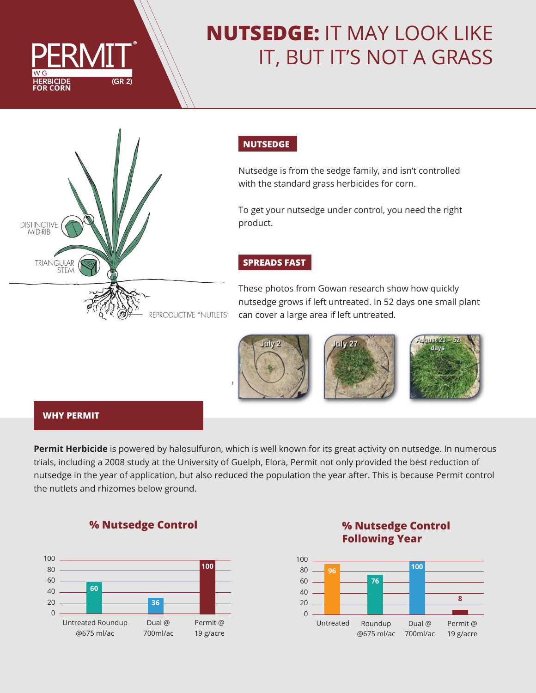

# **NUTSEDGE:** IT MAY LOOK LIKE IT, BUT IT'S NOT A GRASS



# **NUTSEDGE**

Nutsedge is from the sedge family, and isn't controlled with the standard grass herbicides for corn.

To get your nutsedge under control, you need the right product.

## **SPREADS FAST**

These photos from Gowan research show how quickly nutsedge grows if left untreated. In 52 days one small plant can cover a large area if left untreated.





#### **WHY PERMIT**

**Permit Herbicide** is powered by halosulfuron, which is well known for its great activity on nutsedge. In numerous trials, including a 2008 study at the University of Guelph, Elora, Permit not only provided the best reduction of nutsedge in the year of application, but also reduced the population the year after. This is because Permit control the nutlets and rhizomes below ground.

ÿ.



**% Nutsedge Control**

# **% Nutsedge Control Following Year**